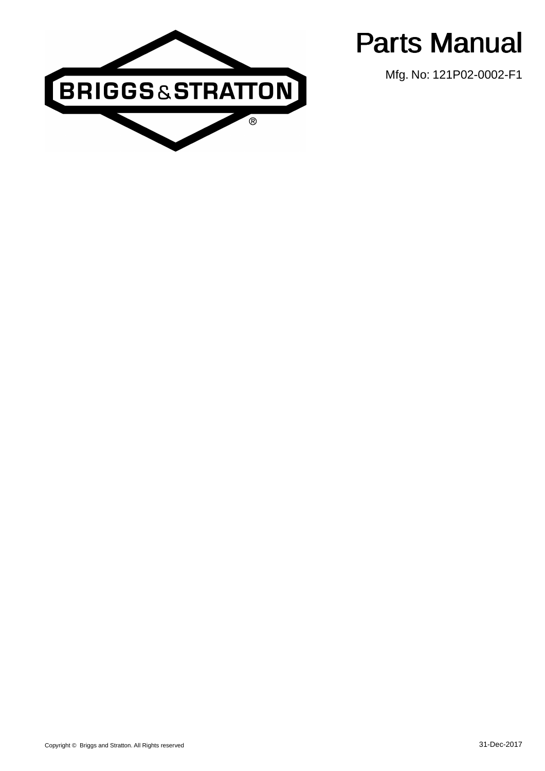

Parts Manual

Mfg. No: 121P02-0002-F1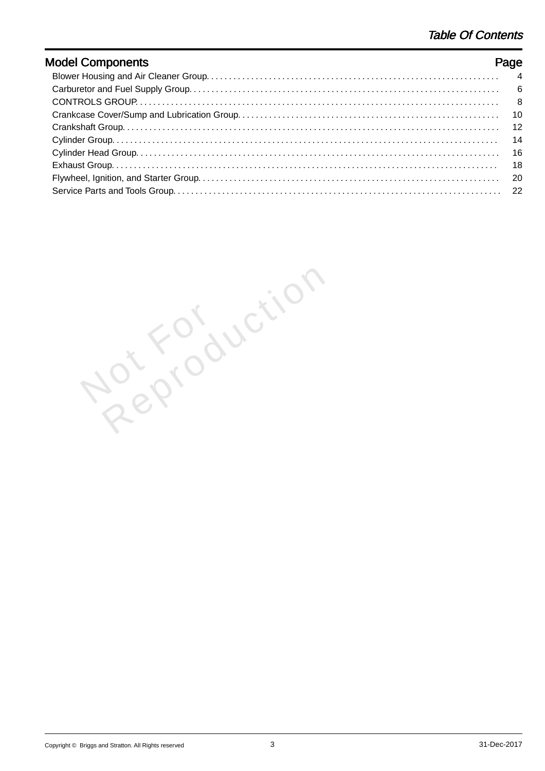| <b>Model Components</b> | Page |
|-------------------------|------|
|                         |      |
|                         |      |
|                         |      |
|                         |      |
|                         |      |
|                         |      |
|                         |      |
|                         |      |
|                         |      |
|                         |      |

Not For Reproduction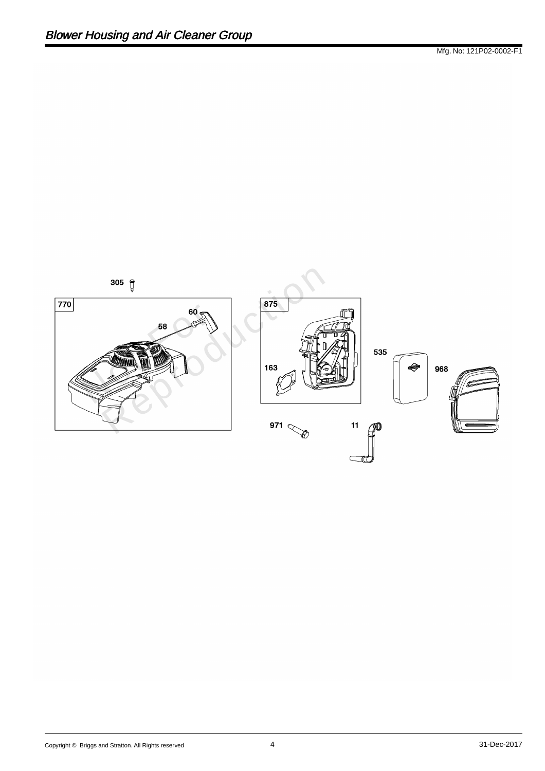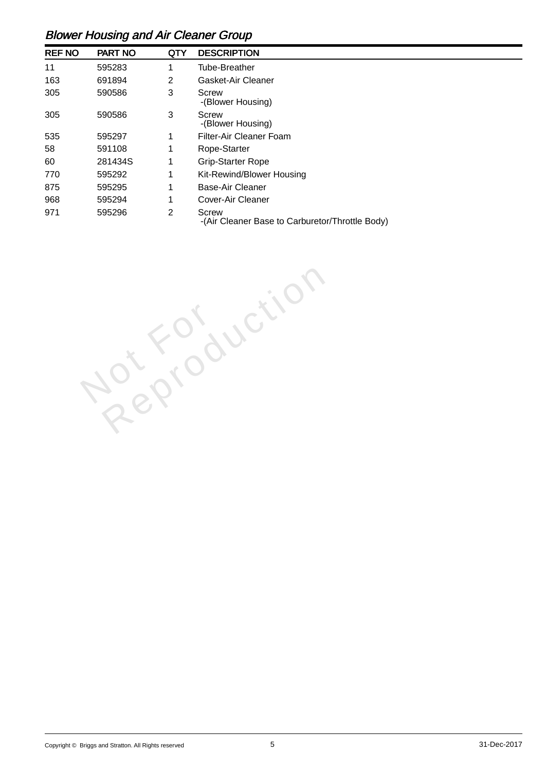## Blower Housing and Air Cleaner Group

| <b>REF NO</b> | <b>PART NO</b> | <b>QTY</b>     | <b>DESCRIPTION</b>                                              |
|---------------|----------------|----------------|-----------------------------------------------------------------|
| 11            | 595283         |                | <b>Tube-Breather</b>                                            |
| 163           | 691894         | 2              | <b>Gasket-Air Cleaner</b>                                       |
| 305           | 590586         | 3              | <b>Screw</b><br>-(Blower Housing)                               |
| 305           | 590586         | 3              | <b>Screw</b><br>-(Blower Housing)                               |
| 535           | 595297         | 1              | <b>Filter-Air Cleaner Foam</b>                                  |
| 58            | 591108         | 1              | Rope-Starter                                                    |
| 60            | 281434S        | 1              | <b>Grip-Starter Rope</b>                                        |
| 770           | 595292         | 1              | Kit-Rewind/Blower Housing                                       |
| 875           | 595295         | 1              | <b>Base-Air Cleaner</b>                                         |
| 968           | 595294         | 1              | <b>Cover-Air Cleaner</b>                                        |
| 971           | 595296         | $\overline{2}$ | <b>Screw</b><br>-(Air Cleaner Base to Carburetor/Throttle Body) |

Not For Reproduction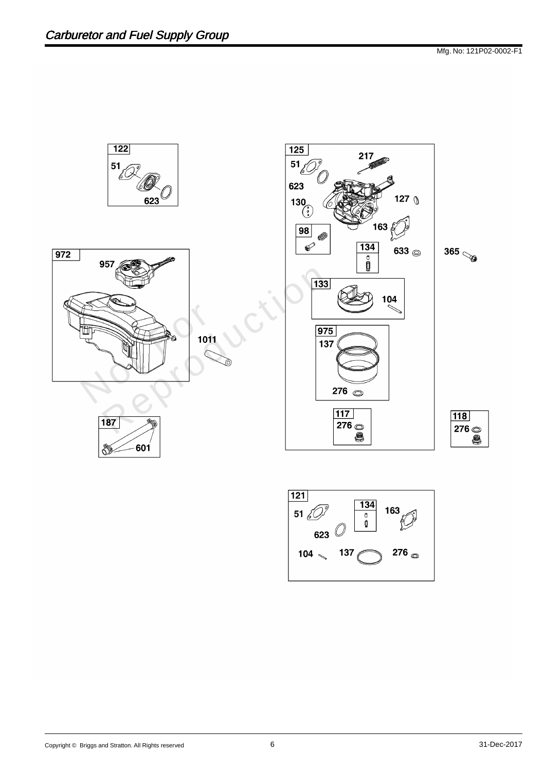

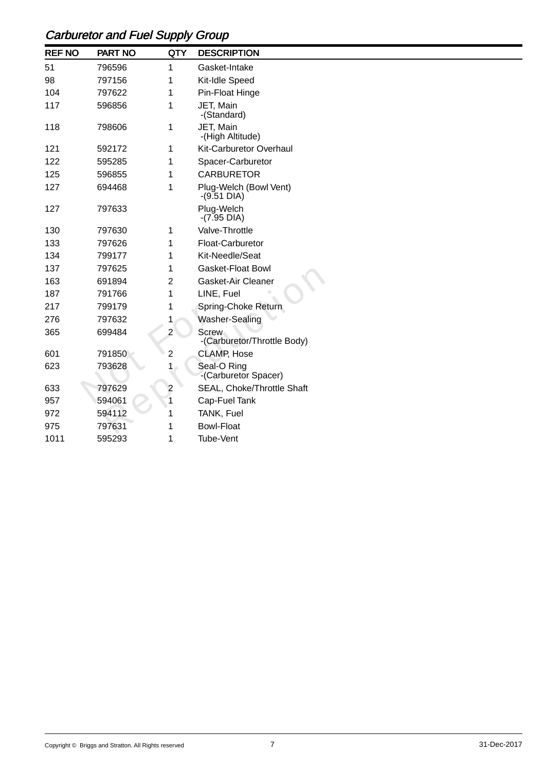## Carburetor and Fuel Supply Group

| <b>REF NO</b> | <b>PART NO</b> | <b>QTY</b>     | <b>DESCRIPTION</b>                      |
|---------------|----------------|----------------|-----------------------------------------|
| 51            | 796596         | 1              | Gasket-Intake                           |
| 98            | 797156         |                | Kit-Idle Speed                          |
| 104           | 797622         |                | Pin-Float Hinge                         |
| 117           | 596856         | 1              | JET, Main<br>-(Standard)                |
| 118           | 798606         | 1              | JET, Main<br>-(High Altitude)           |
| 121           | 592172         |                | <b>Kit-Carburetor Overhaul</b>          |
| 122           | 595285         |                | Spacer-Carburetor                       |
| 125           | 596855         |                | <b>CARBURETOR</b>                       |
| 127           | 694468         |                | Plug-Welch (Bowl Vent)<br>$-(9.51$ DIA) |
| 127           | 797633         |                | Plug-Welch<br>$-(7.95$ DIA)             |
| 130           | 797630         |                | Valve-Throttle                          |
| 133           | 797626         |                | Float-Carburetor                        |
| 134           | 799177         |                | Kit-Needle/Seat                         |
| 137           | 797625         |                | <b>Gasket-Float Bowl</b>                |
| 163           | 691894         | 2              | Gasket-Air Cleaner                      |
| 187           | 791766         |                | LINE, Fuel                              |
| 217           | 799179         |                | Spring-Choke Return                     |
| 276           | 797632         |                | Washer-Sealing                          |
| 365           | 699484         | $\overline{2}$ | Screw<br>-(Carburetor/Throttle Body)    |
| 601           | 791850         | 2              | <b>CLAMP, Hose</b>                      |
| 623           | 793628         | $1 -$          | Seal-O Ring<br>-(Carburetor Spacer)     |
| 633           | 797629         | $\overline{2}$ | SEAL, Choke/Throttle Shaft              |
| 957           | 594061         |                | Cap-Fuel Tank                           |
| 972           | 594112         |                | TANK, Fuel                              |
| 975           | 797631         |                | <b>Bowl-Float</b>                       |
| 1011          | 595293         | 1              | Tube-Vent                               |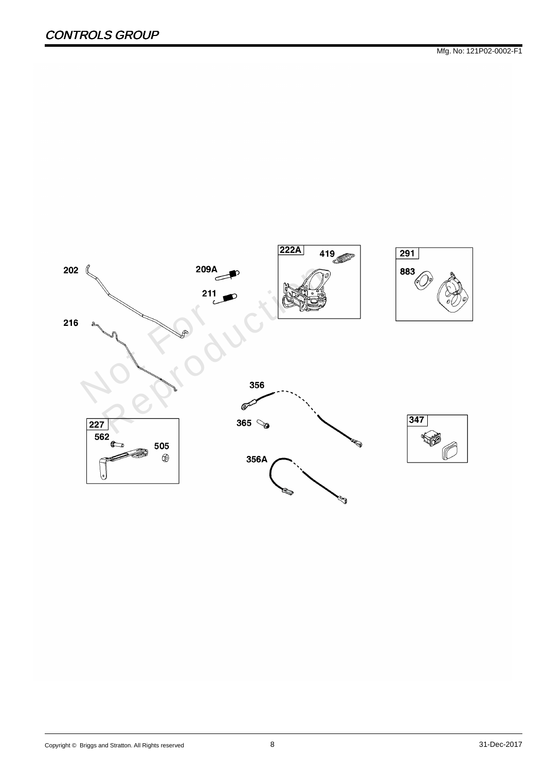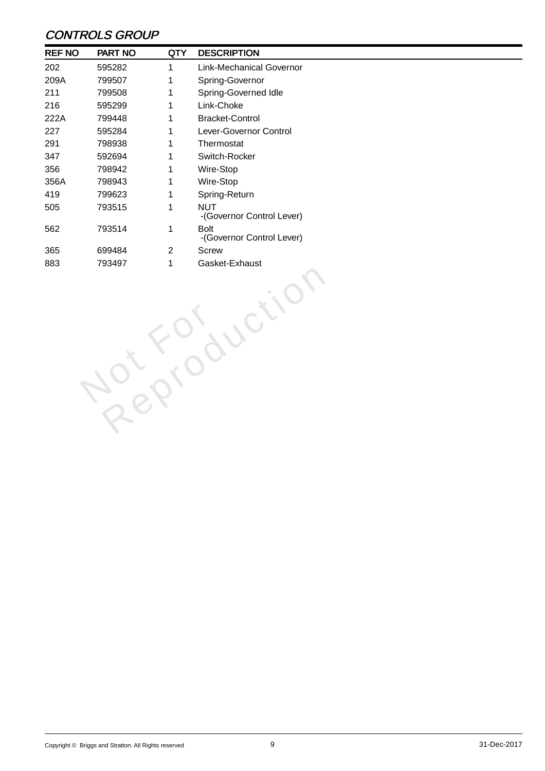## CONTROLS GROUP

| <b>REF NO</b> | PART NO | <b>QTY</b>     | <b>DESCRIPTION</b>                       |  |  |
|---------------|---------|----------------|------------------------------------------|--|--|
| 202           | 595282  | 1              | <b>Link-Mechanical Governor</b>          |  |  |
| 209A          | 799507  | 1              | Spring-Governor                          |  |  |
| 211           | 799508  | 1              | Spring-Governed Idle                     |  |  |
| 216           | 595299  | 1              | Link-Choke                               |  |  |
| 222A          | 799448  | 1              | <b>Bracket-Control</b>                   |  |  |
| 227           | 595284  | 1              | Lever-Governor Control                   |  |  |
| 291           | 798938  | 1              | Thermostat                               |  |  |
| 347           | 592694  | 1              | Switch-Rocker                            |  |  |
| 356           | 798942  | 1              | Wire-Stop                                |  |  |
| 356A          | 798943  | 1              | Wire-Stop                                |  |  |
| 419           | 799623  | 1              | Spring-Return                            |  |  |
| 505           | 793515  | 1              | <b>NUT</b><br>-(Governor Control Lever)  |  |  |
| 562           | 793514  | $\mathbf 1$    | <b>Bolt</b><br>-(Governor Control Lever) |  |  |
| 365           | 699484  | $\overline{2}$ | <b>Screw</b>                             |  |  |
| 883           | 793497  | $\mathbf 1$    | Gasket-Exhaust                           |  |  |
|               |         |                |                                          |  |  |
|               |         |                |                                          |  |  |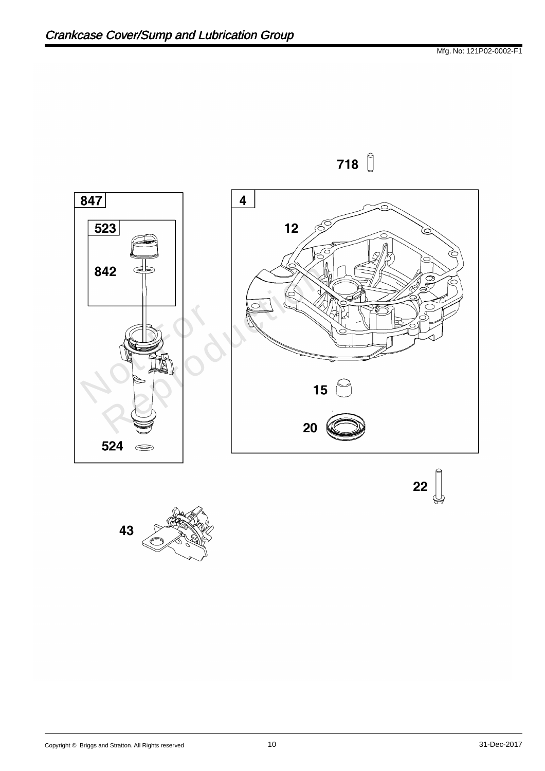

718

 $22 \n\bigcup$ 

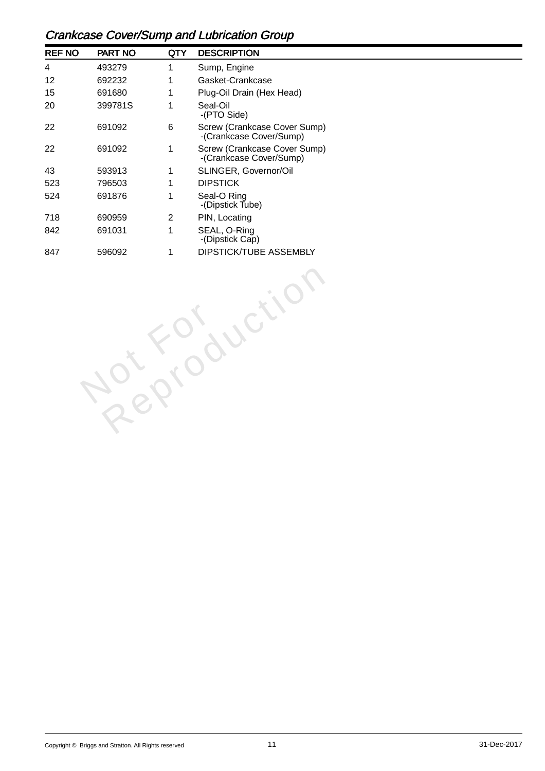## Crankcase Cover/Sump and Lubrication Group

| <b>REF NO</b> | <b>PART NO</b> | QTY | <b>DESCRIPTION</b>                                      |
|---------------|----------------|-----|---------------------------------------------------------|
| 4             | 493279         | 1   | Sump, Engine                                            |
| 12            | 692232         | 1   | Gasket-Crankcase                                        |
| 15            | 691680         | 1   | Plug-Oil Drain (Hex Head)                               |
| 20            | 399781S        | 1   | Seal-Oil<br>-(PTO Side)                                 |
| 22            | 691092         | 6   | Screw (Crankcase Cover Sump)<br>-(Crankcase Cover/Sump) |
| 22            | 691092         | 1   | Screw (Crankcase Cover Sump)<br>-(Crankcase Cover/Sump) |
| 43            | 593913         | 1   | <b>SLINGER, Governor/Oil</b>                            |
| 523           | 796503         | 1   | <b>DIPSTICK</b>                                         |
| 524           | 691876         | 1   | Seal-O Ring<br>-(Dipstick Tube)                         |
| 718           | 690959         | 2   | PIN, Locating                                           |
| 842           | 691031         | 1   | SEAL, O-Ring<br>-(Dipstick Cap)                         |
| 847           | 596092         |     | <b>DIPSTICK/TUBE ASSEMBLY</b>                           |

Not For

Reproduction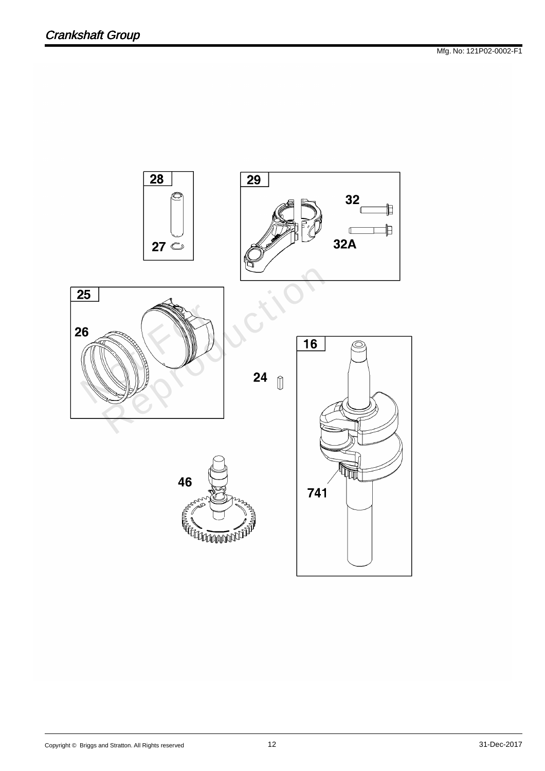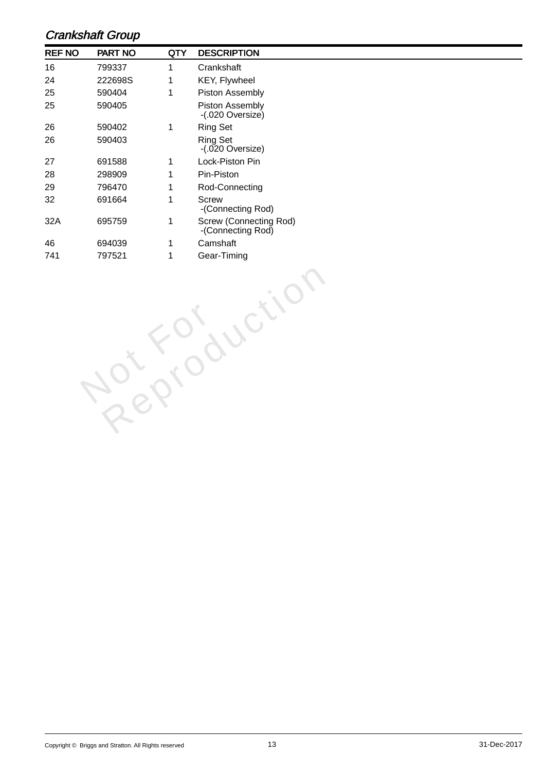#### Crankshaft Group

| <b>REF NO</b> | <b>PART NO</b> | QTY | <b>DESCRIPTION</b>                                 |  |
|---------------|----------------|-----|----------------------------------------------------|--|
| 16            | 799337         |     | Crankshaft                                         |  |
| 24            | 222698S        |     | <b>KEY, Flywheel</b>                               |  |
| 25            | 590404         | 1   | <b>Piston Assembly</b>                             |  |
| 25            | 590405         |     | <b>Piston Assembly</b><br>$-(.020$ Oversize)       |  |
| 26            | 590402         | 1   | <b>Ring Set</b>                                    |  |
| 26            | 590403         |     | <b>Ring Set</b><br>$-(.020$ Oversize)              |  |
| 27            | 691588         |     | Lock-Piston Pin                                    |  |
| 28            | 298909         |     | Pin-Piston                                         |  |
| 29            | 796470         |     | Rod-Connecting                                     |  |
| 32            | 691664         |     | <b>Screw</b><br>-(Connecting Rod)                  |  |
| 32A           | 695759         | 1   | <b>Screw (Connecting Rod)</b><br>-(Connecting Rod) |  |
| 46            | 694039         |     | Camshaft                                           |  |
| 741           | 797521         |     | Gear-Timing                                        |  |

Not For

Reproduction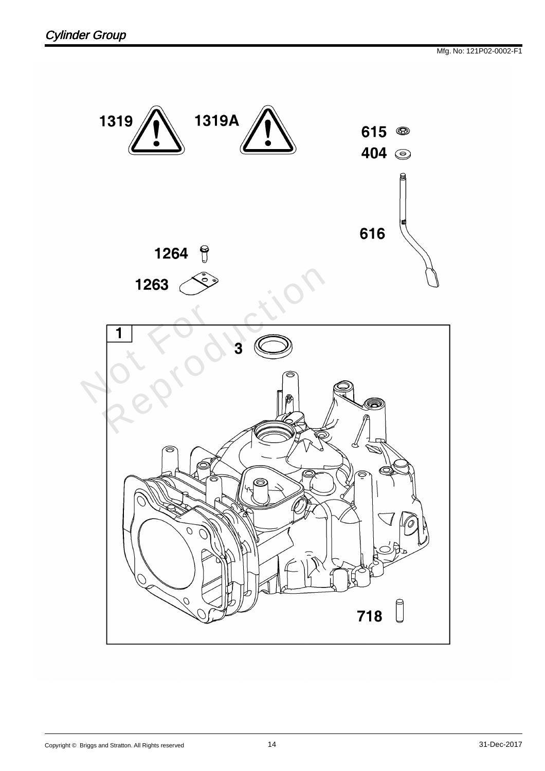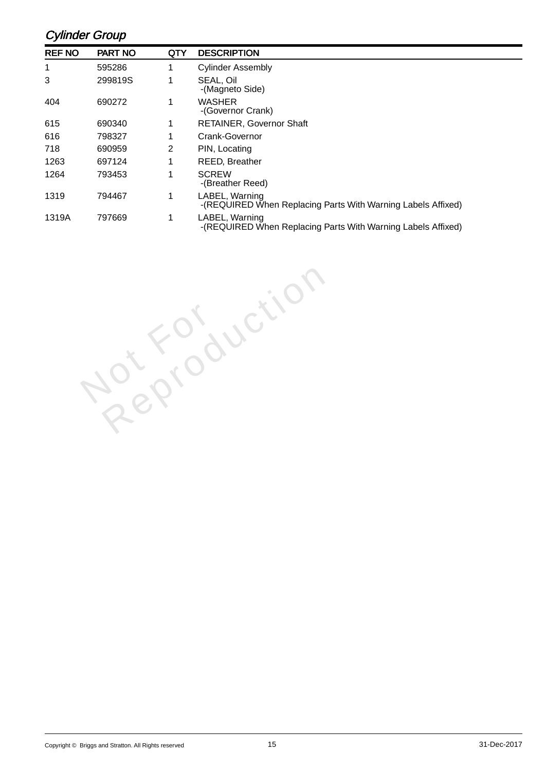#### Cylinder Group

| <b>REF NO</b> | <b>PART NO</b> | QTY | <b>DESCRIPTION</b>                                                             |
|---------------|----------------|-----|--------------------------------------------------------------------------------|
| 1             | 595286         | 1   | <b>Cylinder Assembly</b>                                                       |
| 3             | 299819S        |     | SEAL, Oil<br>-(Magneto Side)                                                   |
| 404           | 690272         | 1   | <b>WASHER</b><br>-(Governor Crank)                                             |
| 615           | 690340         | 1   | <b>RETAINER, Governor Shaft</b>                                                |
| 616           | 798327         | 1   | <b>Crank-Governor</b>                                                          |
| 718           | 690959         | 2   | PIN, Locating                                                                  |
| 1263          | 697124         |     | <b>REED, Breather</b>                                                          |
| 1264          | 793453         |     | <b>SCREW</b><br>-(Breather Reed)                                               |
| 1319          | 794467         |     | LABEL, Warning<br>-(REQUIRED When Replacing Parts With Warning Labels Affixed) |
| 1319A         | 797669         | 1   | LABEL, Warning<br>-(REQUIRED When Replacing Parts With Warning Labels Affixed) |

Not For

Reproduction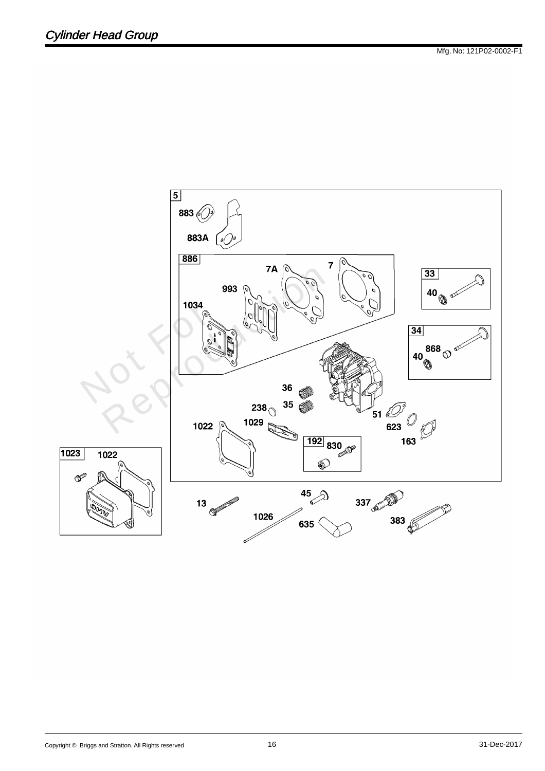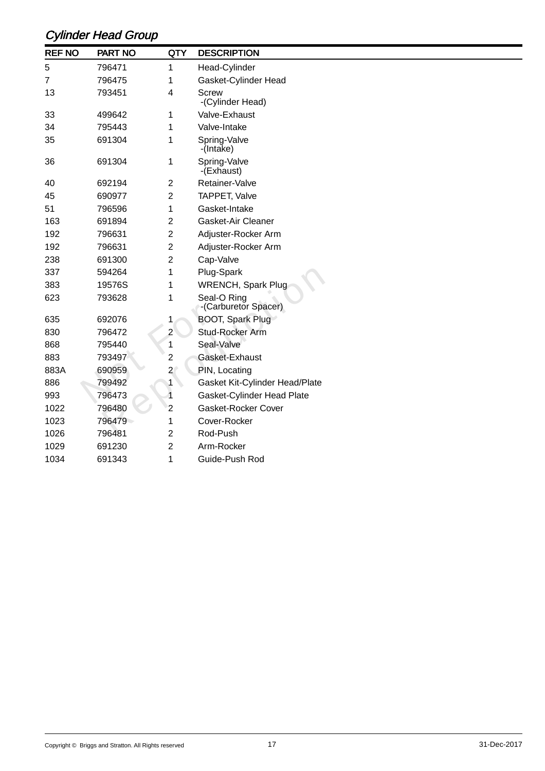# Cylinder Head Group

| <b>REF NO</b> | <b>PART NO</b> | <b>QTY</b>     | <b>DESCRIPTION</b>                  |
|---------------|----------------|----------------|-------------------------------------|
| 5             | 796471         | 1              | Head-Cylinder                       |
| 7             | 796475         |                | Gasket-Cylinder Head                |
| 13            | 793451         | 4              | <b>Screw</b><br>-(Cylinder Head)    |
| 33            | 499642         | 1              | Valve-Exhaust                       |
| 34            | 795443         |                | Valve-Intake                        |
| 35            | 691304         |                | Spring-Valve<br>-(Intake)           |
| 36            | 691304         | 1              | Spring-Valve<br>-(Exhaust)          |
| 40            | 692194         | 2              | Retainer-Valve                      |
| 45            | 690977         | 2              | <b>TAPPET, Valve</b>                |
| 51            | 796596         |                | Gasket-Intake                       |
| 163           | 691894         | 2              | <b>Gasket-Air Cleaner</b>           |
| 192           | 796631         | 2              | Adjuster-Rocker Arm                 |
| 192           | 796631         | 2              | Adjuster-Rocker Arm                 |
| 238           | 691300         | 2              | Cap-Valve                           |
| 337           | 594264         |                | Plug-Spark                          |
| 383           | 19576S         |                | <b>WRENCH, Spark Plug</b>           |
| 623           | 793628         |                | Seal-O Ring<br>-(Carburetor Spacer) |
| 635           | 692076         |                | BOOT, Spark Plug                    |
| 830           | 796472         | $\overline{2}$ | Stud-Rocker Arm                     |
| 868           | 795440         | 1              | Seal-Valve                          |
| 883           | 793497         | 2              | Gasket-Exhaust                      |
| 883A          | 690959         | $\overline{a}$ | PIN, Locating                       |
| 886           | 799492         |                | Gasket Kit-Cylinder Head/Plate      |
| 993           | 796473         |                | Gasket-Cylinder Head Plate          |
| 1022          | 796480         | 2              | <b>Gasket-Rocker Cover</b>          |
| 1023          | 796479         |                | Cover-Rocker                        |
| 1026          | 796481         | 2              | Rod-Push                            |
| 1029          | 691230         | 2              | Arm-Rocker                          |
| 1034          | 691343         | 1              | Guide-Push Rod                      |
|               |                |                |                                     |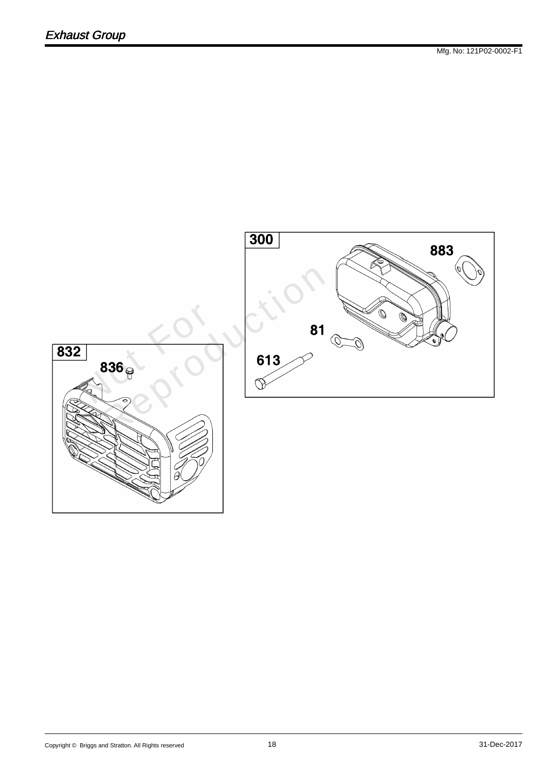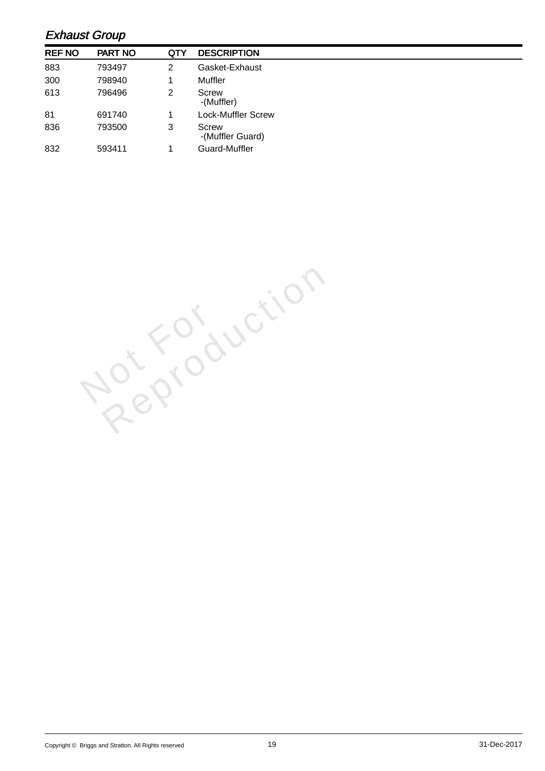#### Exhaust Group

| <b>REF NO</b> | <b>PART NO</b> | <b>QTY</b> | <b>DESCRIPTION</b>               |
|---------------|----------------|------------|----------------------------------|
| 883           | 793497         | 2          | Gasket-Exhaust                   |
| 300           | 798940         |            | <b>Muffler</b>                   |
| 613           | 796496         | 2          | <b>Screw</b><br>-(Muffler)       |
| 81            | 691740         |            | Lock-Muffler Screw               |
| 836           | 793500         | 3          | <b>Screw</b><br>-(Muffler Guard) |
| 832           | 593411         |            | Guard-Muffler                    |

Not For Reproduction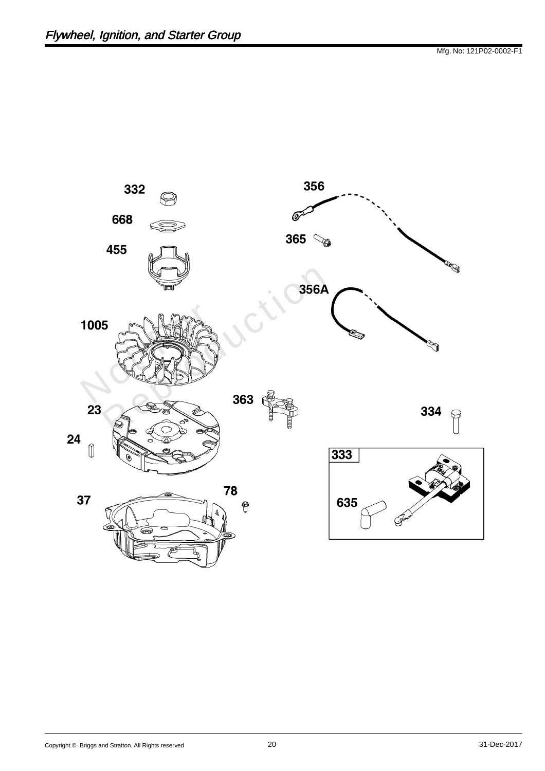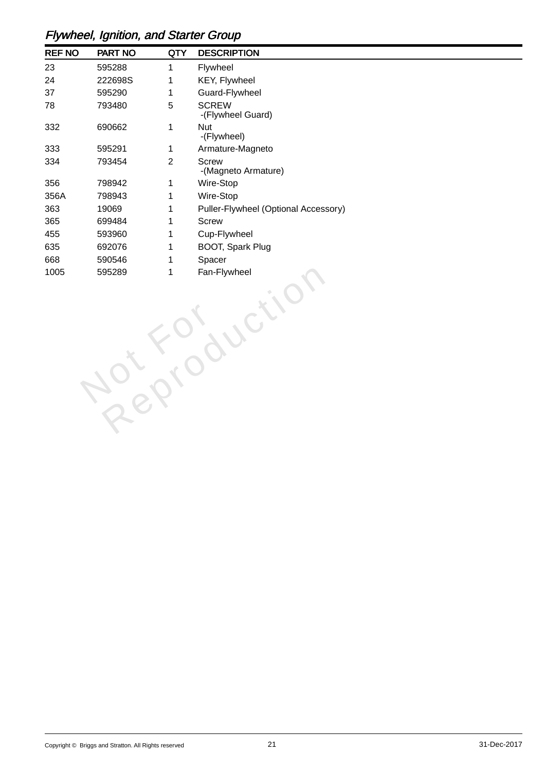## Flywheel, Ignition, and Starter Group

| <b>REF NO</b> | PART NO | <b>QTY</b>     | <b>DESCRIPTION</b>                   |
|---------------|---------|----------------|--------------------------------------|
| 23            | 595288  | 1              | Flywheel                             |
| 24            | 222698S | 1              | <b>KEY, Flywheel</b>                 |
| 37            | 595290  | 1              | Guard-Flywheel                       |
| 78            | 793480  | 5              | <b>SCREW</b><br>-(Flywheel Guard)    |
| 332           | 690662  | 1              | <b>Nut</b><br>-(Flywheel)            |
| 333           | 595291  | 1              | Armature-Magneto                     |
| 334           | 793454  | $\overline{2}$ | <b>Screw</b><br>-(Magneto Armature)  |
| 356           | 798942  | 1              | Wire-Stop                            |
| 356A          | 798943  | 1              | Wire-Stop                            |
| 363           | 19069   | 1              | Puller-Flywheel (Optional Accessory) |
| 365           | 699484  | 1              | <b>Screw</b>                         |
| 455           | 593960  | 1              | Cup-Flywheel                         |
| 635           | 692076  | 1              | <b>BOOT, Spark Plug</b>              |
| 668           | 590546  | 1              | Spacer                               |
| 1005          | 595289  | 1              | Fan-Flywheel                         |
|               |         |                |                                      |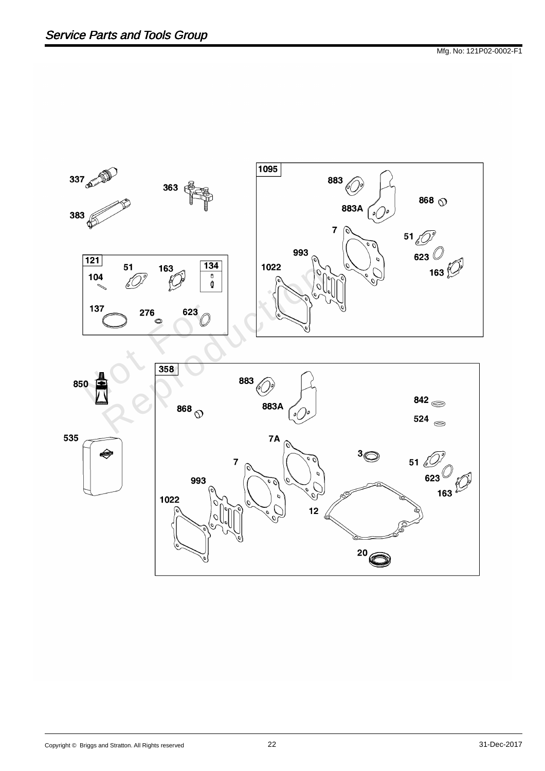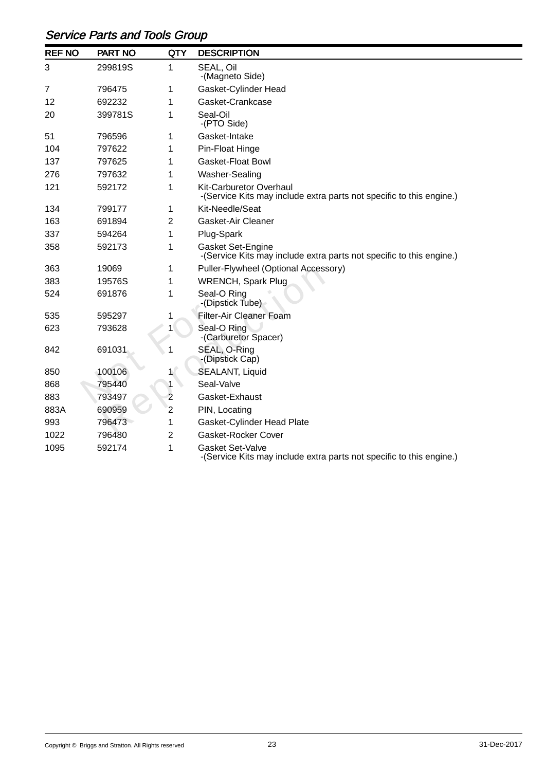## Service Parts and Tools Group

| <b>REF NO</b> | <b>PART NO</b> | <b>QTY</b>     | <b>DESCRIPTION</b>                                                                                     |
|---------------|----------------|----------------|--------------------------------------------------------------------------------------------------------|
| 3             | 299819S        | 1              | SEAL, Oil<br>-(Magneto Side)                                                                           |
| 7             | 796475         | 1              | Gasket-Cylinder Head                                                                                   |
| 12            | 692232         | 1              | Gasket-Crankcase                                                                                       |
| 20            | 399781S        |                | Seal-Oil<br>-(PTO Side)                                                                                |
| 51            | 796596         | 1              | Gasket-Intake                                                                                          |
| 104           | 797622         | 1              | <b>Pin-Float Hinge</b>                                                                                 |
| 137           | 797625         |                | <b>Gasket-Float Bowl</b>                                                                               |
| 276           | 797632         | 1              | Washer-Sealing                                                                                         |
| 121           | 592172         | 1              | <b>Kit-Carburetor Overhaul</b><br>-(Service Kits may include extra parts not specific to this engine.) |
| 134           | 799177         | 1              | Kit-Needle/Seat                                                                                        |
| 163           | 691894         | 2              | <b>Gasket-Air Cleaner</b>                                                                              |
| 337           | 594264         | 1              | Plug-Spark                                                                                             |
| 358           | 592173         | 1              | <b>Gasket Set-Engine</b><br>-(Service Kits may include extra parts not specific to this engine.)       |
| 363           | 19069          | 1              | Puller-Flywheel (Optional Accessory)                                                                   |
| 383           | 19576S         | 1              | <b>WRENCH, Spark Plug</b>                                                                              |
| 524           | 691876         | 1              | Seal-O Ring<br>-(Dipstick Tube)                                                                        |
| 535           | 595297         | 1              | <b>Filter-Air Cleaner Foam</b>                                                                         |
| 623           | 793628         | 1              | Seal-O Ring<br>-(Carburetor Spacer)                                                                    |
| 842           | 691031         |                | SEAL, O-Ring<br>-(Dipstick Cap)                                                                        |
| 850           | 100106         | 1              | <b>SEALANT, Liquid</b>                                                                                 |
| 868           | 795440         | 1              | Seal-Valve                                                                                             |
| 883           | 793497         | $\overline{2}$ | Gasket-Exhaust                                                                                         |
| 883A          | 690959         | $\overline{c}$ | PIN, Locating                                                                                          |
| 993           | 796473         | 1              | <b>Gasket-Cylinder Head Plate</b>                                                                      |
| 1022          | 796480         | $\overline{2}$ | <b>Gasket-Rocker Cover</b>                                                                             |
| 1095          | 592174         | 1              | <b>Gasket Set-Valve</b><br>-(Service Kits may include extra parts not specific to this engine.)        |